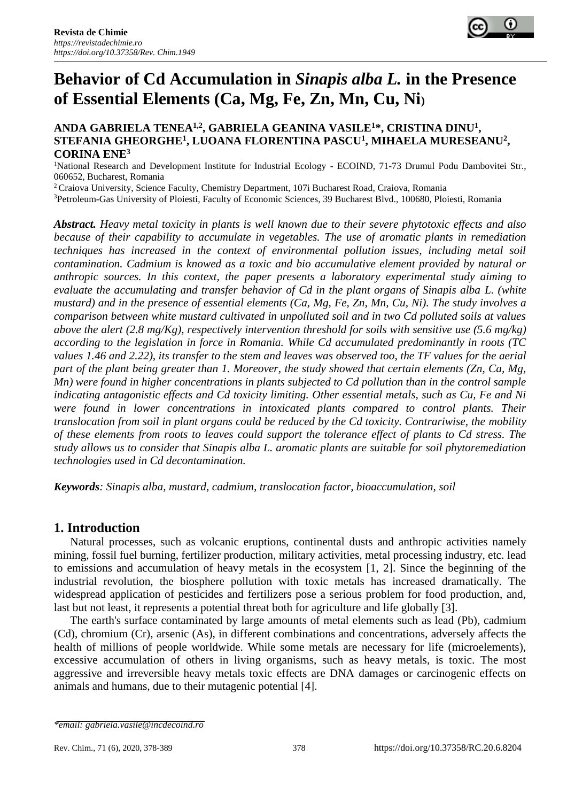

# **Behavior of Cd Accumulation in** *Sinapis alba L.* **in the Presence of Essential Elements (Ca, Mg, Fe, Zn, Mn, Cu, Ni)**

### **ANDA GABRIELA TENEA1,2, GABRIELA GEANINA VASILE<sup>1</sup>\*, CRISTINA DINU<sup>1</sup> , STEFANIA GHEORGHE<sup>1</sup> , LUOANA FLORENTINA PASCU<sup>1</sup> , MIHAELA MURESEANU<sup>2</sup> , CORINA ENE<sup>3</sup>**

<sup>1</sup>National Research and Development Institute for Industrial Ecology - ECOIND, 71-73 Drumul Podu Dambovitei Str., 060652, Bucharest, Romania

<sup>2</sup> Craiova University, Science Faculty, Chemistry Department, 107i Bucharest Road, Craiova, Romania

<sup>3</sup>Petroleum-Gas University of Ploiesti, Faculty of Economic Sciences, 39 Bucharest Blvd., 100680, Ploiesti, Romania

*Abstract. Heavy metal toxicity in plants is well known due to their severe phytotoxic effects and also because of their capability to accumulate in vegetables. The use of aromatic plants in remediation techniques has increased in the context of environmental pollution issues, including metal soil contamination. Cadmium is knowed as a toxic and bio accumulative element provided by natural or anthropic sources. In this context, the paper presents a laboratory experimental study aiming to evaluate the accumulating and transfer behavior of Cd in the plant organs of Sinapis alba L. (white mustard) and in the presence of essential elements (Ca, Mg, Fe, Zn, Mn, Cu, Ni). The study involves a comparison between white mustard cultivated in unpolluted soil and in two Cd polluted soils at values above the alert (2.8 mg/Kg), respectively intervention threshold for soils with sensitive use (5.6 mg/kg) according to the legislation in force in Romania. While Cd accumulated predominantly in roots (TC values 1.46 and 2.22), its transfer to the stem and leaves was observed too, the TF values for the aerial part of the plant being greater than 1. Moreover, the study showed that certain elements (Zn, Ca, Mg, Mn) were found in higher concentrations in plants subjected to Cd pollution than in the control sample indicating antagonistic effects and Cd toxicity limiting. Other essential metals, such as Cu, Fe and Ni were found in lower concentrations in intoxicated plants compared to control plants. Their translocation from soil in plant organs could be reduced by the Cd toxicity. Contrariwise, the mobility of these elements from roots to leaves could support the tolerance effect of plants to Cd stress. The study allows us to consider that Sinapis alba L. aromatic plants are suitable for soil phytoremediation technologies used in Cd decontamination.*

*Keywords: Sinapis alba, mustard, cadmium, translocation factor, bioaccumulation, soil* 

# **1. Introduction**

Natural processes, such as volcanic eruptions, continental dusts and anthropic activities namely mining, fossil fuel burning, fertilizer production, military activities, metal processing industry, etc. lead to emissions and accumulation of heavy metals in the ecosystem [1, 2]. Since the beginning of the industrial revolution, the biosphere pollution with toxic metals has increased dramatically. The widespread application of pesticides and fertilizers pose a serious problem for food production, and, last but not least, it represents a potential threat both for agriculture and life globally [3].

The earth's surface contaminated by large amounts of metal elements such as lead (Pb), cadmium (Cd), chromium (Cr), arsenic (As), in different combinations and concentrations, adversely affects the health of millions of people worldwide. While some metals are necessary for life (microelements), excessive accumulation of others in living organisms, such as heavy metals, is toxic. The most aggressive and irreversible heavy metals toxic effects are DNA damages or carcinogenic effects on animals and humans, due to their mutagenic potential [4].

*<sup>\*</sup>email[: gabriela.vasile@incdecoind.ro](mailto:gabriela.vasile@incdecoind.ro)*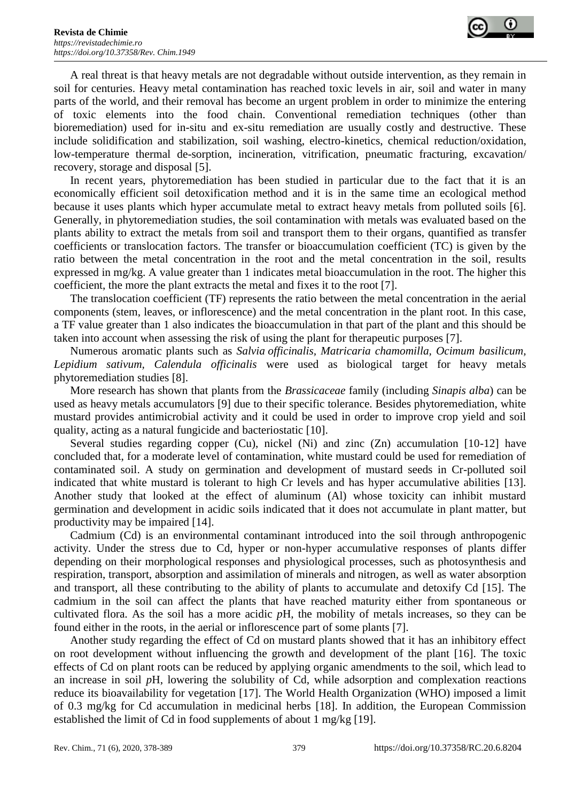

A real threat is that heavy metals are not degradable without outside intervention, as they remain in soil for centuries. Heavy metal contamination has reached toxic levels in air, soil and water in many parts of the world, and their removal has become an urgent problem in order to minimize the entering of toxic elements into the food chain. Conventional remediation techniques (other than bioremediation) used for in-situ and ex-situ remediation are usually costly and destructive. These include solidification and stabilization, soil washing, electro-kinetics, chemical reduction/oxidation, low-temperature thermal de-sorption, incineration, vitrification, pneumatic fracturing, excavation/ recovery, storage and disposal [5].

In recent years, phytoremediation has been studied in particular due to the fact that it is an economically efficient soil detoxification method and it is in the same time an ecological method because it uses plants which hyper accumulate metal to extract heavy metals from polluted soils [6]. Generally, in phytoremediation studies, the soil contamination with metals was evaluated based on the plants ability to extract the metals from soil and transport them to their organs, quantified as transfer coefficients or translocation factors. The transfer or bioaccumulation coefficient (TC) is given by the ratio between the metal concentration in the root and the metal concentration in the soil, results expressed in mg/kg. A value greater than 1 indicates metal bioaccumulation in the root. The higher this coefficient, the more the plant extracts the metal and fixes it to the root [7].

The translocation coefficient (TF) represents the ratio between the metal concentration in the aerial components (stem, leaves, or inflorescence) and the metal concentration in the plant root. In this case, a TF value greater than 1 also indicates the bioaccumulation in that part of the plant and this should be taken into account when assessing the risk of using the plant for therapeutic purposes [7].

Numerous aromatic plants such as *Salvia officinalis, Matricaria chamomilla, Ocimum basilicum, Lepidium sativum, Calendula officinalis* were used as biological target for heavy metals phytoremediation studies [8].

More research has shown that plants from the *Brassicaceae* family (including *Sinapis alba*) can be used as heavy metals accumulators [9] due to their specific tolerance. Besides phytoremediation, white mustard provides antimicrobial activity and it could be used in order to improve crop yield and soil quality, acting as a natural fungicide and bacteriostatic [10].

Several studies regarding copper (Cu), nickel (Ni) and zinc (Zn) accumulation [10-12] have concluded that, for a moderate level of contamination, white mustard could be used for remediation of contaminated soil. A study on germination and development of mustard seeds in Cr-polluted soil indicated that white mustard is tolerant to high Cr levels and has hyper accumulative abilities [13]. Another study that looked at the effect of aluminum (Al) whose toxicity can inhibit mustard germination and development in acidic soils indicated that it does not accumulate in plant matter, but productivity may be impaired [14].

Cadmium (Cd) is an environmental contaminant introduced into the soil through anthropogenic activity. Under the stress due to Cd, hyper or non-hyper accumulative responses of plants differ depending on their morphological responses and physiological processes, such as photosynthesis and respiration, transport, absorption and assimilation of minerals and nitrogen, as well as water absorption and transport, all these contributing to the ability of plants to accumulate and detoxify Cd [15]. The cadmium in the soil can affect the plants that have reached maturity either from spontaneous or cultivated flora. As the soil has a more acidic *p*H, the mobility of metals increases, so they can be found either in the roots, in the aerial or inflorescence part of some plants [7].

Another study regarding the effect of Cd on mustard plants showed that it has an inhibitory effect on root development without influencing the growth and development of the plant [16]. The toxic effects of Cd on plant roots can be reduced by applying organic amendments to the soil, which lead to an increase in soil *p*H, lowering the solubility of Cd, while adsorption and complexation reactions reduce its bioavailability for vegetation [17]. The World Health Organization (WHO) imposed a limit of 0.3 mg/kg for Cd accumulation in medicinal herbs [18]. In addition, the European Commission established the limit of Cd in food supplements of about 1 mg/kg [19].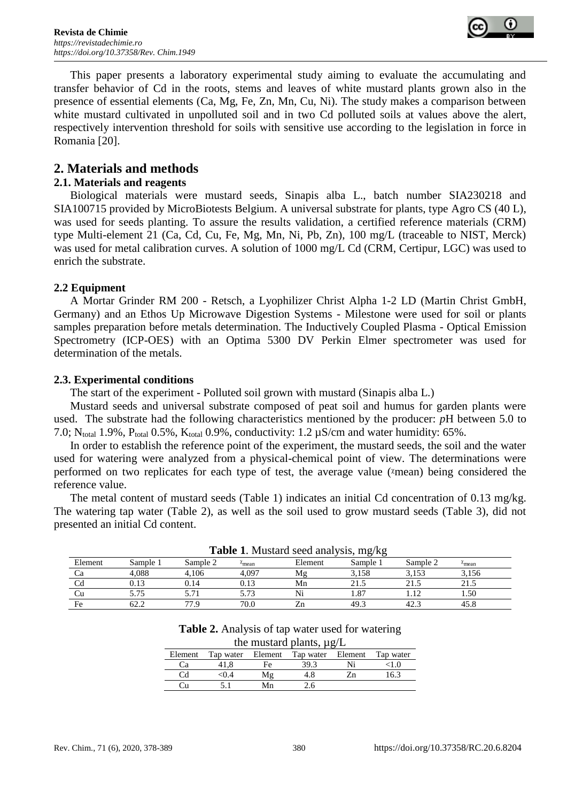

This paper presents a laboratory experimental study aiming to evaluate the accumulating and transfer behavior of Cd in the roots, stems and leaves of white mustard plants grown also in the presence of essential elements (Ca, Mg, Fe, Zn, Mn, Cu, Ni). The study makes a comparison between white mustard cultivated in unpolluted soil and in two Cd polluted soils at values above the alert, respectively intervention threshold for soils with sensitive use according to the legislation in force in Romania [20].

# **2. Materials and methods**

### **2.1. Materials and reagents**

Biological materials were mustard seeds, Sinapis alba L., batch number SIA230218 and SIA100715 provided by MicroBiotests Belgium. A universal substrate for plants, type Agro CS (40 L), was used for seeds planting. To assure the results validation, a certified reference materials (CRM) type Multi-element 21 (Ca, Cd, Cu, Fe, Mg, Mn, Ni, Pb, Zn), 100 mg/L (traceable to NIST, Merck) was used for metal calibration curves. A solution of 1000 mg/L Cd (CRM, Certipur, LGC) was used to enrich the substrate.

### **2.2 Equipment**

A Mortar Grinder RM 200 - Retsch, a Lyophilizer Christ Alpha 1-2 LD (Martin Christ GmbH, Germany) and an Ethos Up Microwave Digestion Systems - Milestone were used for soil or plants samples preparation before metals determination. The Inductively Coupled Plasma - Optical Emission Spectrometry (ICP-OES) with an Optima 5300 DV Perkin Elmer spectrometer was used for determination of the metals.

### **2.3. Experimental conditions**

The start of the experiment - Polluted soil grown with mustard (Sinapis alba L.)

Mustard seeds and universal substrate composed of peat soil and humus for garden plants were used. The substrate had the following characteristics mentioned by the producer: *p*H between 5.0 to 7.0; N<sub>total</sub> 1.9%, P<sub>total</sub> 0.5%, K<sub>total</sub> 0.9%, conductivity: 1.2  $\mu$ S/cm and water humidity: 65%.

In order to establish the reference point of the experiment, the mustard seeds, the soil and the water used for watering were analyzed from a physical-chemical point of view. The determinations were performed on two replicates for each type of test, the average value ( $\alpha$ mean) being considered the reference value.

The metal content of mustard seeds (Table 1) indicates an initial Cd concentration of 0.13 mg/kg. The watering tap water (Table 2), as well as the soil used to grow mustard seeds (Table 3), did not presented an initial Cd content.

|         |          |          |                           | <b>Table 1.</b> Ividstand Seculation visits, High Ng |          |          |        |  |
|---------|----------|----------|---------------------------|------------------------------------------------------|----------|----------|--------|--|
| Element | Sample i | Sample 2 | $\lambda$ <sub>mean</sub> | Element                                              | Sample 1 | Sample 2 | Amean  |  |
|         | 4.088    | 4.106    | 4.097                     | M₫                                                   | 3.158    | 3.153    | 3,156  |  |
|         |          | 0.14     | ).13                      | Mn                                                   | 21.5     | 21.5     |        |  |
|         |          |          |                           |                                                      | 1.87     |          | . . 50 |  |
| Fe      |          | 77.9     | 70.0                      |                                                      | 49.3     | 42.      | 45.8   |  |

**Table 1**. Mustard seed analysis, mg/kg

**Table 2.** Analysis of tap water used for watering the mustard plants,  $\mu \sigma / L$ 

| $\mu$ and $\mu$ and $\mu$ prairies, $\mu$ g/ $\mu$ |      |    |                                     |  |           |
|----------------------------------------------------|------|----|-------------------------------------|--|-----------|
| Element                                            |      |    | Tap water Element Tap water Element |  | Tap water |
| Cа                                                 |      | Fe | 39.3                                |  |           |
| Cd                                                 | <0.4 | Μg | 4.8                                 |  | 16.3      |
| . A                                                |      | Mn | 2.6                                 |  |           |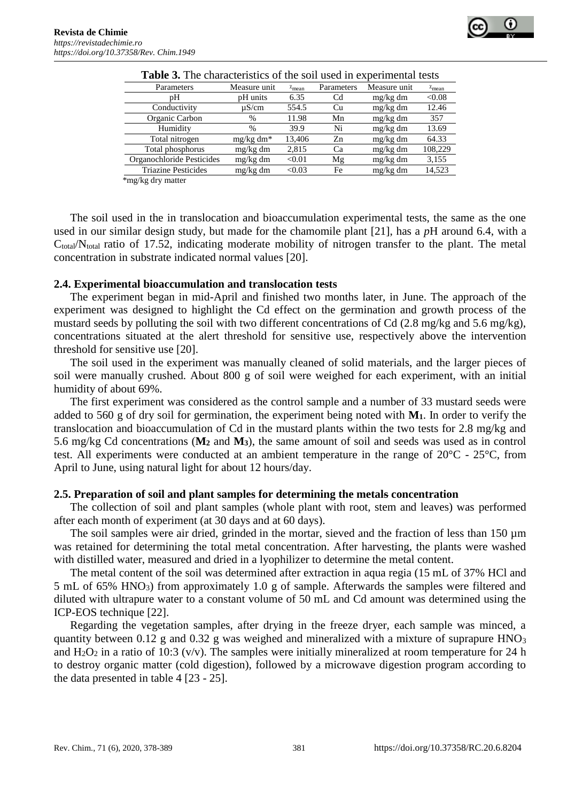

| Parameters                 | Measure unit | $\chi$ <sub>mean</sub> | Parameters | Measure unit | $\chi$ <sub>mean</sub> |
|----------------------------|--------------|------------------------|------------|--------------|------------------------|
| pΗ                         | pH units     | 6.35                   | Cd         | mg/kg dm     | < 0.08                 |
| Conductivity               | $\mu$ S/cm   | 554.5                  | Cu         | mg/kg dm     | 12.46                  |
| Organic Carbon             | $\%$         | 11.98                  | Mn         | mg/kg dm     | 357                    |
| Humidity                   | %            | 39.9                   | Ni         | mg/kg dm     | 13.69                  |
| Total nitrogen             | $mg/kg dm*$  | 13,406                 | $Z_{n}$    | mg/kg dm     | 64.33                  |
| Total phosphorus           | mg/kg dm     | 2,815                  | Cа         | mg/kg dm     | 108,229                |
| Organochloride Pesticides  | mg/kg dm     | < 0.01                 | Mg         | mg/kg dm     | 3,155                  |
| <b>Triazine Pesticides</b> | $mg/kg$ dm   | < 0.03                 | Fe         | $mg/kg$ dm   | 14,523                 |

**Table 3.** The characteristics of the soil used in experimental tests

\*mg/kg dry matter

The soil used in the in translocation and bioaccumulation experimental tests, the same as the one used in our similar design study, but made for the chamomile plant [21], has a *p*H around 6.4, with a  $C_{total}/N_{total}$  ratio of 17.52, indicating moderate mobility of nitrogen transfer to the plant. The metal concentration in substrate indicated normal values [20].

### **2.4. Experimental bioaccumulation and translocation tests**

The experiment began in mid-April and finished two months later, in June. The approach of the experiment was designed to highlight the Cd effect on the germination and growth process of the mustard seeds by polluting the soil with two different concentrations of Cd (2.8 mg/kg and 5.6 mg/kg), concentrations situated at the alert threshold for sensitive use, respectively above the intervention threshold for sensitive use [20].

The soil used in the experiment was manually cleaned of solid materials, and the larger pieces of soil were manually crushed. About 800 g of soil were weighed for each experiment, with an initial humidity of about 69%.

The first experiment was considered as the control sample and a number of 33 mustard seeds were added to 560 g of dry soil for germination, the experiment being noted with **M1**. In order to verify the translocation and bioaccumulation of Cd in the mustard plants within the two tests for 2.8 mg/kg and 5.6 mg/kg Cd concentrations (**M<sup>2</sup>** and **M3**), the same amount of soil and seeds was used as in control test. All experiments were conducted at an ambient temperature in the range of 20°C - 25°C, from April to June, using natural light for about 12 hours/day.

### **2.5. Preparation of soil and plant samples for determining the metals concentration**

The collection of soil and plant samples (whole plant with root, stem and leaves) was performed after each month of experiment (at 30 days and at 60 days).

The soil samples were air dried, grinded [in the mortar,](https://context.reverso.net/traducere/engleza-romana/in+the+mortar) sieved and the fraction of less than 150  $\mu$ m was retained for determining the total metal concentration. After harvesting, the plants were washed with distilled water, measured and dried in a lyophilizer to determine the metal content.

The metal content of the soil was determined after extraction in aqua regia (15 mL of 37% HCl and 5 mL of 65% HNO3) from approximately 1.0 g of sample. Afterwards the samples were filtered and diluted with ultrapure water to a constant volume of 50 mL and Cd amount was determined using the ICP-EOS technique [22].

Regarding the vegetation samples, after drying in the freeze dryer, each sample was minced, a quantity between 0.12 g and 0.32 g was weighed and mineralized with a mixture of suprapure  $HNO<sub>3</sub>$ and  $H_2O_2$  in a ratio of 10:3 (v/v). The samples were initially mineralized at room temperature for 24 h to destroy organic matter (cold digestion), followed by a microwave digestion program according to the data presented in table 4 [23 - 25].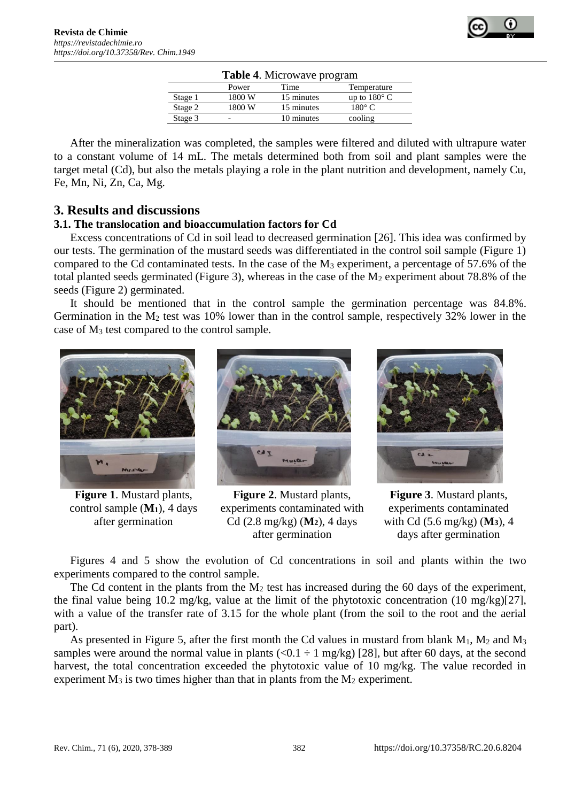| <b>Table 4.</b> MICTOWAVE program |        |            |                       |  |  |
|-----------------------------------|--------|------------|-----------------------|--|--|
|                                   | Power  | Time       | Temperature           |  |  |
| Stage 1                           | 1800 W | 15 minutes | up to $180^{\circ}$ C |  |  |
| Stage 2                           | 1800 W | 15 minutes | $180^\circ$ C         |  |  |
| Stage 3                           |        | 10 minutes | cooling               |  |  |
|                                   |        |            |                       |  |  |

**Table 4**. Microwave program

After the mineralization was completed, the samples were filtered and diluted with ultrapure water to a constant volume of 14 mL. The metals determined both from soil and plant samples were the target metal (Cd), but also the metals playing a role in the plant nutrition and development, namely Cu, Fe, Mn, Ni, Zn, Ca, Mg.

# **3. Results and discussions**

# **3.1. The translocation and bioaccumulation factors for Cd**

Excess concentrations of Cd in soil lead to decreased germination [26]. This idea was confirmed by our tests. The germination of the mustard seeds was differentiated in the control soil sample (Figure 1) compared to the Cd contaminated tests. In the case of the  $M_3$  experiment, a percentage of 57.6% of the total planted seeds germinated (Figure 3), whereas in the case of the  $M_2$  experiment about 78.8% of the seeds (Figure 2) germinated.

It should be mentioned that in the control sample the germination percentage was 84.8%. Germination in the  $M_2$  test was 10% lower than in the control sample, respectively 32% lower in the case of M<sup>3</sup> test compared to the control sample.



**Figure 1**. Mustard plants, control sample (**M1**), 4 days after germination



**Figure 2**. Mustard plants, experiments contaminated with Cd (2.8 mg/kg) (**M2**), 4 days after germination



**Figure 3**. Mustard plants, experiments contaminated with Cd (5.6 mg/kg) (**M3**), 4 days after germination

Figures 4 and 5 show the evolution of Cd concentrations in soil and plants within the two experiments compared to the control sample.

The Cd content in the plants from the  $M_2$  test has increased during the 60 days of the experiment, the final value being 10.2 mg/kg, value at the limit of the phytotoxic concentration (10 mg/kg)[27], with a value of the transfer rate of 3.15 for the whole plant (from the soil to the root and the aerial part).

As presented in Figure 5, after the first month the Cd values in mustard from blank  $M_1$ ,  $M_2$  and  $M_3$ samples were around the normal value in plants (<0.1  $\div$  1 mg/kg) [28], but after 60 days, at the second harvest, the total concentration exceeded the phytotoxic value of 10 mg/kg. The value recorded in experiment  $M_3$  is two times higher than that in plants from the  $M_2$  experiment.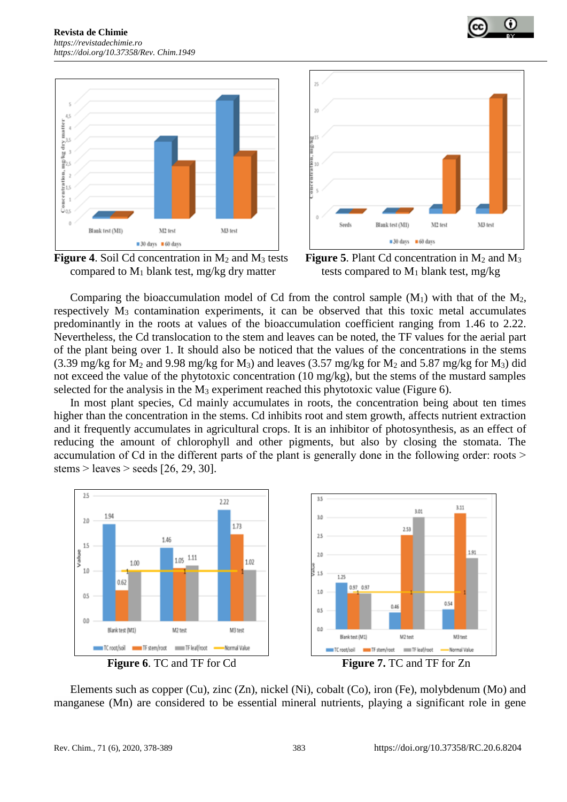







Comparing the bioaccumulation model of Cd from the control sample  $(M_1)$  with that of the  $M_2$ , respectively  $M_3$  contamination experiments, it can be observed that this toxic metal accumulates predominantly in the roots at values of the bioaccumulation coefficient ranging from 1.46 to 2.22. Nevertheless, the Cd translocation to the stem and leaves can be noted, the TF values for the aerial part of the plant being over 1. It should also be noticed that the values of the concentrations in the stems (3.39 mg/kg for  $M_2$  and 9.98 mg/kg for  $M_3$ ) and leaves (3.57 mg/kg for  $M_2$  and 5.87 mg/kg for  $M_3$ ) did not exceed the value of the phytotoxic concentration (10 mg/kg), but the stems of the mustard samples selected for the analysis in the  $M_3$  experiment reached this phytotoxic value (Figure 6).

In most plant species, Cd mainly accumulates in roots, the concentration being about ten times higher than the concentration in the stems. Cd inhibits root and stem growth, affects nutrient extraction and it frequently accumulates in agricultural crops. It is an inhibitor of photosynthesis, as an effect of reducing the amount of chlorophyll and other pigments, but also by closing the stomata. The accumulation of Cd in the different parts of the plant is generally done in the following order: roots  $\geq$ stems  $>$  leaves  $>$  seeds [26, 29, 30].



Elements such as copper (Cu), zinc (Zn), nickel (Ni), cobalt (Co), iron (Fe), molybdenum (Mo) and manganese (Mn) are considered to be essential mineral nutrients, playing a significant role in gene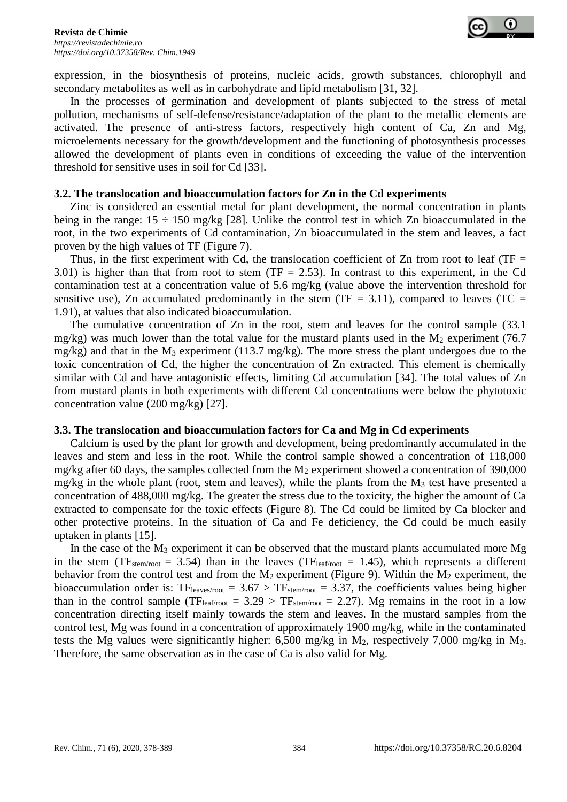

expression, in the biosynthesis of proteins, nucleic acids, growth substances, chlorophyll and secondary metabolites as well as in carbohydrate and lipid metabolism [31, 32].

In the processes of germination and development of plants subjected to the stress of metal pollution, mechanisms of self-defense/resistance/adaptation of the plant to the metallic elements are activated. The presence of anti-stress factors, respectively high content of Ca, Zn and Mg, microelements necessary for the growth/development and the functioning of photosynthesis processes allowed the development of plants even in conditions of exceeding the value of the intervention threshold for sensitive uses in soil for Cd [33].

### **3.2. The translocation and bioaccumulation factors for Zn in the Cd experiments**

Zinc is considered an essential metal for plant development, the normal concentration in plants being in the range:  $15 \div 150$  mg/kg [28]. Unlike the control test in which Zn bioaccumulated in the root, in the two experiments of Cd contamination, Zn bioaccumulated in the stem and leaves, a fact proven by the high values of TF (Figure 7).

Thus, in the first experiment with Cd, the translocation coefficient of Zn from root to leaf (TF  $=$ 3.01) is higher than that from root to stem (TF  $= 2.53$ ). In contrast to this experiment, in the Cd contamination test at a concentration value of 5.6 mg/kg (value above the intervention threshold for sensitive use), Zn accumulated predominantly in the stem (TF = 3.11), compared to leaves (TC = 1.91), at values that also indicated bioaccumulation.

The cumulative concentration of Zn in the root, stem and leaves for the control sample (33.1 mg/kg) was much lower than the total value for the mustard plants used in the  $M_2$  experiment (76.7) mg/kg) and that in the  $M_3$  experiment (113.7 mg/kg). The more stress the plant undergoes due to the toxic concentration of Cd, the higher the concentration of Zn extracted. This element is chemically similar with Cd and have antagonistic effects, limiting Cd accumulation [34]. The total values of Zn from mustard plants in both experiments with different Cd concentrations were below the phytotoxic concentration value (200 mg/kg) [27].

### **3.3. The translocation and bioaccumulation factors for Ca and Mg in Cd experiments**

Calcium is used by the plant for growth and development, being predominantly accumulated in the leaves and stem and less in the root. While the control sample showed a concentration of 118,000 mg/kg after 60 days, the samples collected from the  $M_2$  experiment showed a concentration of 390,000 mg/kg in the whole plant (root, stem and leaves), while the plants from the  $M_3$  test have presented a concentration of 488,000 mg/kg. The greater the stress due to the toxicity, the higher the amount of Ca extracted to compensate for the toxic effects (Figure 8). The Cd could be limited by Ca blocker and other protective proteins. In the situation of Ca and Fe deficiency, the Cd could be much easily uptaken in plants [15].

In the case of the  $M_3$  experiment it can be observed that the mustard plants accumulated more  $Mg$ in the stem (TF<sub>stem/root</sub> = 3.54) than in the leaves (TF<sub>leaf/root</sub> = 1.45), which represents a different behavior from the control test and from the  $M_2$  experiment (Figure 9). Within the  $M_2$  experiment, the bioaccumulation order is:  $TF_{\text{leaves/root}} = 3.67 > TF_{\text{stem/root}} = 3.37$ , the coefficients values being higher than in the control sample (TF<sub>leaf/root</sub> =  $3.29 > TF_{\text{stem/root}} = 2.27$ ). Mg remains in the root in a low concentration directing itself mainly towards the stem and leaves. In the mustard samples from the control test, Mg was found in a concentration of approximately 1900 mg/kg, while in the contaminated tests the Mg values were significantly higher: 6,500 mg/kg in  $M_2$ , respectively 7,000 mg/kg in  $M_3$ . Therefore, the same observation as in the case of Ca is also valid for Mg.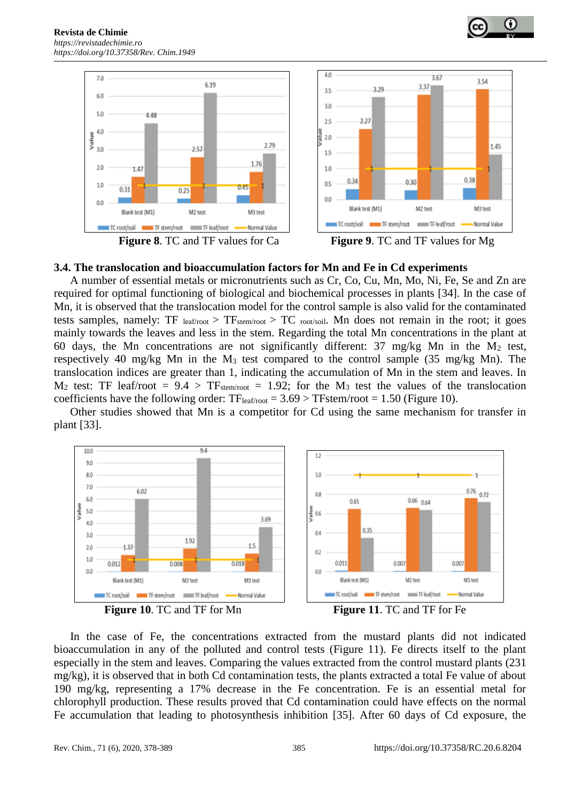







**Figure 8**. TC and TF values for Ca **Figure 9**. TC and TF values for Mg

### **3.4. The translocation and bioaccumulation factors for Mn and Fe in Cd experiments**

A number of essential metals or micronutrients such as Cr, Co, Cu, Mn, Mo, Ni, Fe, Se and Zn are required for optimal functioning of biological and biochemical processes in plants [34]. In the case of Mn, it is observed that the translocation model for the control sample is also valid for the contaminated tests samples, namely: TF  $_{leaf/root}$  > TF<sub>stem/root</sub> > TC  $_{root/solid}$ . Mn does not remain in the root; it goes mainly towards the leaves and less in the stem. Regarding the total Mn concentrations in the plant at 60 days, the Mn concentrations are not significantly different:  $37 \text{ mg/kg}$  Mn in the M<sub>2</sub> test, respectively 40 mg/kg Mn in the M<sup>3</sup> test compared to the control sample (35 mg/kg Mn). The translocation indices are greater than 1, indicating the accumulation of Mn in the stem and leaves. In  $M_2$  test: TF leaf/root = 9.4 > TF<sub>stem/root</sub> = 1.92; for the M<sub>3</sub> test the values of the translocation coefficients have the following order:  $TF_{leaf/root} = 3.69 > TF^{2}$  (Figure 10).

Other studies showed that Mn is a competitor for Cd using the same mechanism for transfer in plant [33].







In the case of Fe, the concentrations extracted from the mustard plants did not indicated bioaccumulation in any of the polluted and control tests (Figure 11). Fe directs itself to the plant especially in the stem and leaves. Comparing the values extracted from the control mustard plants (231 mg/kg), it is observed that in both Cd contamination tests, the plants extracted a total Fe value of about 190 mg/kg, representing a 17% decrease in the Fe concentration. Fe is an essential metal for chlorophyll production. These results proved that Cd contamination could have effects on the normal Fe accumulation that leading to photosynthesis inhibition [35]. After 60 days of Cd exposure, the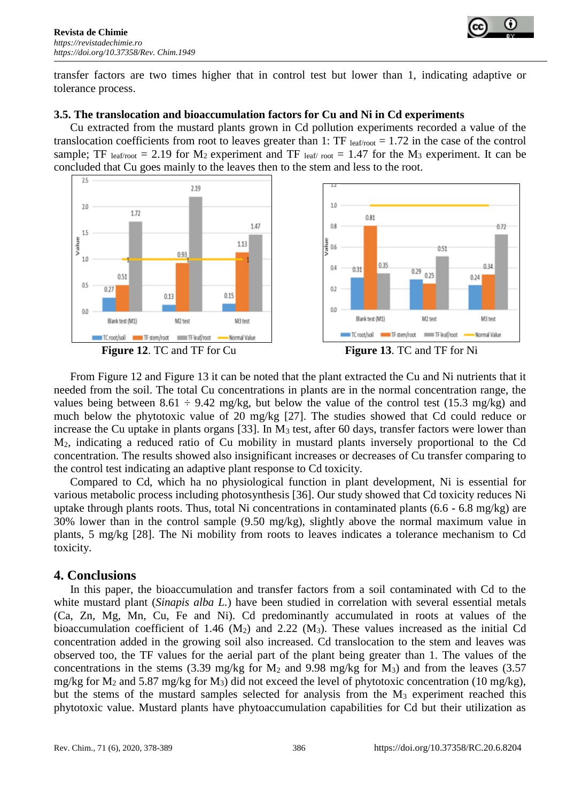

transfer factors are two times higher that in control test but lower than 1, indicating adaptive or tolerance process.

### **3.5. The translocation and bioaccumulation factors for Cu and Ni in Cd experiments**

Cu extracted from the mustard plants grown in Cd pollution experiments recorded a value of the translocation coefficients from root to leaves greater than 1: TF  $_{\text{leaf/root}} = 1.72$  in the case of the control sample; TF leaf/root = 2.19 for  $M_2$  experiment and TF leaf/root = 1.47 for the  $M_3$  experiment. It can be concluded that Cu goes mainly to the leaves then to the stem and less to the root.









From Figure 12 and Figure 13 it can be noted that the plant extracted the Cu and Ni nutrients that it needed from the soil. The total Cu concentrations in plants are in the normal concentration range, the values being between 8.61  $\div$  9.42 mg/kg, but below the value of the control test (15.3 mg/kg) and much below the phytotoxic value of 20 mg/kg [27]. The studies showed that Cd could reduce or increase the Cu uptake in plants organs [33]. In M<sub>3</sub> test, after 60 days, transfer factors were lower than M2, indicating a reduced ratio of Cu mobility in mustard plants inversely proportional to the Cd concentration. The results showed also insignificant increases or decreases of Cu transfer comparing to the control test indicating an adaptive plant response to Cd toxicity.

Compared to Cd, which ha no physiological function in plant development, Ni is essential for various metabolic process including photosynthesis [36]. Our study showed that Cd toxicity reduces Ni uptake through plants roots. Thus, total Ni concentrations in contaminated plants (6.6 - 6.8 mg/kg) are 30% lower than in the control sample (9.50 mg/kg), slightly above the normal maximum value in plants, 5 mg/kg [28]. The Ni mobility from roots to leaves indicates a tolerance mechanism to Cd toxicity.

# **4. Conclusions**

In this paper, the bioaccumulation and transfer factors from a soil contaminated with Cd to the white mustard plant (*Sinapis alba L.*) have been studied in correlation with several essential metals (Ca, Zn, Mg, Mn, Cu, Fe and Ni). Cd predominantly accumulated in roots at values of the bioaccumulation coefficient of 1.46  $(M_2)$  and 2.22  $(M_3)$ . These values increased as the initial Cd concentration added in the growing soil also increased. Cd translocation to the stem and leaves was observed too, the TF values for the aerial part of the plant being greater than 1. The values of the concentrations in the stems (3.39 mg/kg for  $M_2$  and 9.98 mg/kg for  $M_3$ ) and from the leaves (3.57 mg/kg for  $M_2$  and 5.87 mg/kg for  $M_3$ ) did not exceed the level of phytotoxic concentration (10 mg/kg), but the stems of the mustard samples selected for analysis from the  $M_3$  experiment reached this phytotoxic value. Mustard plants have phytoaccumulation capabilities for Cd but their utilization as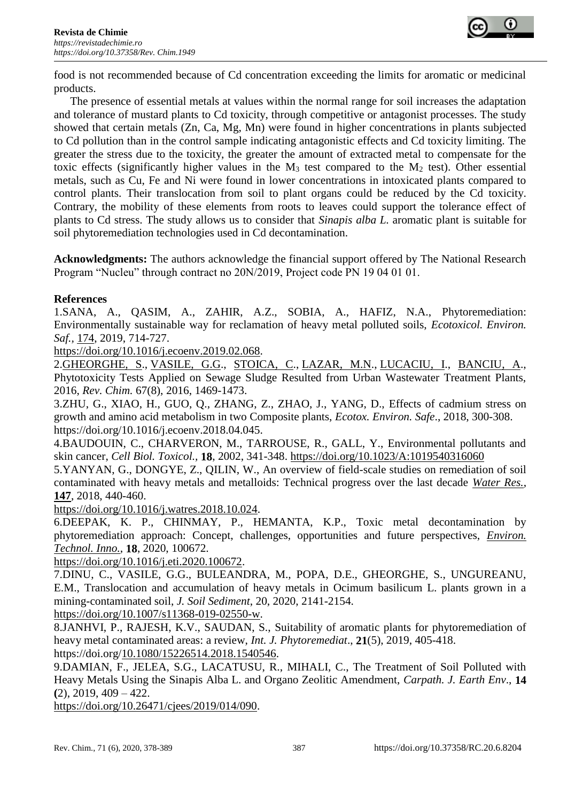

food is not recommended because of Cd concentration exceeding the limits for aromatic or medicinal products.

The presence of essential metals at values within the normal range for soil increases the adaptation and tolerance of mustard plants to Cd toxicity, through competitive or antagonist processes. The study showed that certain metals (Zn, Ca, Mg, Mn) were found in higher concentrations in plants subjected to Cd pollution than in the control sample indicating antagonistic effects and Cd toxicity limiting. The greater the stress due to the toxicity, the greater the amount of extracted metal to compensate for the toxic effects (significantly higher values in the  $M_3$  test compared to the  $M_2$  test). Other essential metals, such as Cu, Fe and Ni were found in lower concentrations in intoxicated plants compared to control plants. Their translocation from soil to plant organs could be reduced by the Cd toxicity. Contrary, the mobility of these elements from roots to leaves could support the tolerance effect of plants to Cd stress. The study allows us to consider that *Sinapis alba L.* aromatic plant is suitable for soil phytoremediation technologies used in Cd decontamination.

**Acknowledgments:** The authors acknowledge the financial support offered by The National Research Program "Nucleu" through contract no 20N/2019, Project code PN 19 04 01 01.

### **References**

1.SANA, A., QASIM, A., ZAHIR, A.Z., SOBIA, A., HAFIZ, N.A., Phytoremediation: Environmentally sustainable way for reclamation of heavy metal polluted soils, *Ecotoxicol. Environ. Saf.,* [174,](https://www-sciencedirect-com.am.e-nformation.ro/science/journal/01476513/174/supp/C) 2019, 714-727.

[https://doi.org/10.1016/j.ecoenv.2019.02.068.](https://doi.org/10.1016/j.ecoenv.2019.02.068)

2[.GHEORGHE, S.](http://apps.webofknowledge.com/OneClickSearch.do?product=UA&search_mode=OneClickSearch&SID=F4YYpmlmWwKzONNxFMT&field=AU&value=Gheorghe,%20S&ut=3571777&pos=1&excludeEventConfig=ExcludeIfFromFullRecPage), [VASILE, G.G.](http://apps.webofknowledge.com/OneClickSearch.do?product=UA&search_mode=OneClickSearch&SID=F4YYpmlmWwKzONNxFMT&field=AU&value=Vasile,%20GG&ut=824391&pos=2&excludeEventConfig=ExcludeIfFromFullRecPage), [STOICA, C.](http://apps.webofknowledge.com/OneClickSearch.do?product=UA&search_mode=OneClickSearch&SID=F4YYpmlmWwKzONNxFMT&field=AU&value=Stoica,%20C&ut=2135471&pos=3&excludeEventConfig=ExcludeIfFromFullRecPage), [LAZAR, M.N.](http://apps.webofknowledge.com/OneClickSearch.do?product=UA&search_mode=OneClickSearch&SID=F4YYpmlmWwKzONNxFMT&field=AU&value=Lazar,%20MN&ut=890657&pos=4&excludeEventConfig=ExcludeIfFromFullRecPage), [LUCACIU, I.](http://apps.webofknowledge.com/OneClickSearch.do?product=UA&search_mode=OneClickSearch&SID=F4YYpmlmWwKzONNxFMT&field=AU&value=Lucaciu,%20I&ut=1378554&pos=5&excludeEventConfig=ExcludeIfFromFullRecPage), [BANCIU, A.](http://apps.webofknowledge.com/OneClickSearch.do?product=UA&search_mode=OneClickSearch&SID=F4YYpmlmWwKzONNxFMT&field=AU&value=Banciu,%20A&ut=3500566&pos=6&excludeEventConfig=ExcludeIfFromFullRecPage), Phytotoxicity Tests Applied on Sewage Sludge Resulted from Urban Wastewater Treatment Plants, 2016, *Rev. Chim.* 67(8), 2016, 1469-1473.

3.ZHU, G., XIAO, H., GUO, Q., ZHANG, Z., ZHAO, J., YANG, D., Effects of cadmium stress on growth and amino acid metabolism in two Composite plants, *Ecotox. Environ. Safe*., 2018, 300-308. https://doi.org/10.1016/j.ecoenv.2018.04.045.

4.BAUDOUIN, C., CHARVERON, M., TARROUSE, R., GALL, Y., Environmental pollutants and skin cancer, *Cell Biol. Toxicol.,* **18**, 2002, 341-348.<https://doi.org/10.1023/A:1019540316060>

5.YANYAN, G., DONGYE, Z., QILIN, W., An overview of field-scale studies on remediation of soil contaminated with heavy metals and metalloids: Technical progress over the last decade *[Water Res.](https://www.sciencedirect.com/science/journal/00431354)*, **[147](https://www.sciencedirect.com/science/journal/00431354/147/supp/C)**, 2018, 440-460.

[https://doi.org/10.1016/j.watres.2018.10.024.](https://doi.org/10.1016/j.watres.2018.10.024)

6.DEEPAK, K. P., CHINMAY, P., HEMANTA, K.P., Toxic metal decontamination by phytoremediation approach: Concept, challenges, opportunities and future perspectives, *[Environ.](https://www.sciencedirect.com/science/journal/23521864)  [Technol. Inno.](https://www.sciencedirect.com/science/journal/23521864)*, **18**, 2020, 100672.

[https://doi.org/10.1016/j.eti.2020.100672.](https://doi.org/10.1016/j.eti.2020.100672)

7.DINU, C., VASILE, G.G., BULEANDRA, M., POPA, D.E., GHEORGHE, S., UNGUREANU, E.M., Translocation and accumulation of heavy metals in Ocimum basilicum L. plants grown in a mining-contaminated soil, *J. Soil Sediment*, 20, 2020, 2141-2154.

[https://doi.org/10.1007/s11368-019-02550-w.](https://doi.org/10.1007/s11368-019-02550-w)

8.JANHVI, P., RAJESH, K.V., SAUDAN, S., Suitability of aromatic plants for phytoremediation of heavy metal contaminated areas: a review, *Int. J. Phytoremediat*., **21**(5), 2019, 405-418. https://doi.org[/10.1080/15226514.2018.1540546.](https://doi.org/10.1080/15226514.2018.1540546)

9.DAMIAN, F., JELEA, S.G., LACATUSU, R., MIHALI, C., The Treatment of Soil Polluted with Heavy Metals Using the Sinapis Alba L. and Organo Zeolitic Amendment, *Carpath. J. Earth Env*., **14 (**2), 2019, 409 – 422.

[https://doi.org/10.26471/cjees/2019/014/090.](https://doi.org/10.26471/cjees/2019/014/090)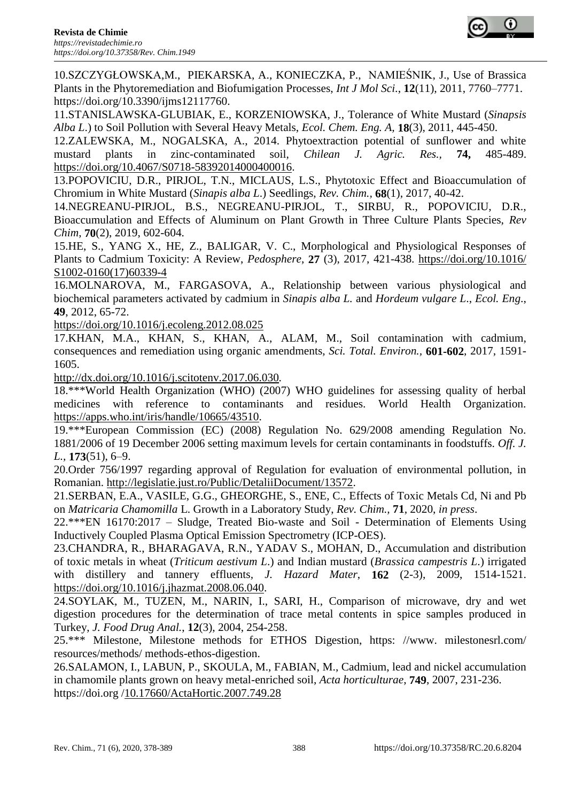10[.SZCZYGŁOWSKA,](https://www.ncbi.nlm.nih.gov/pubmed/?term=Szczyg%26%23x00142%3Bowska%20M%5BAuthor%5D&cauthor=true&cauthor_uid=22174630)M., [PIEKARSKA,](https://www.ncbi.nlm.nih.gov/pubmed/?term=Piekarska%20A%5BAuthor%5D&cauthor=true&cauthor_uid=22174630) A., [KONIECZKA,](https://www.ncbi.nlm.nih.gov/pubmed/?term=Konieczka%20P%5BAuthor%5D&cauthor=true&cauthor_uid=22174630) P., [NAMIEŚNIK,](https://www.ncbi.nlm.nih.gov/pubmed/?term=Namie%26%23x0015b%3Bnik%20J%5BAuthor%5D&cauthor=true&cauthor_uid=22174630) J., Use of Brassica Plants in the Phytoremediation and Biofumigation Processes, *[Int J Mol Sci](https://www.ncbi.nlm.nih.gov/pmc/articles/PMC3233436/)*., **12**(11), 2011, 7760–7771. https://doi.org/10.3390/jims12117760.

11.STANISLAWSKA-GLUBIAK, E., KORZENIOWSKA, J., Tolerance of White Mustard (*Sinapsis Alba L*.) to Soil Pollution with Several Heavy Metals, *Ecol. Chem. Eng. A,* **18**(3), 2011, 445-450.

12.ZALEWSKA, M., NOGALSKA, A., 2014. Phytoextraction potential of sunflower and white mustard plants in zinc-contaminated soil, *Chilean J. Agric. Res.,* **74,** 485-489. [https://doi.org/10.4067/S0718-58392014000400016.](https://doi.org/10.4067/S0718-58392014000400016)

13.POPOVICIU, D.R., PIRJOL, T.N., MICLAUS, L.S., Phytotoxic Effect and Bioaccumulation of Chromium in White Mustard (*Sinapis alba L*.) Seedlings, *Rev. Chim.,* **68**(1), 2017, 40-42.

14.NEGREANU-PIRJOL, B.S., NEGREANU-PIRJOL, T., SIRBU, R., POPOVICIU, D.R., Bioaccumulation and Effects of Aluminum on Plant Growth in Three Culture Plants Species, *Rev Chim*, **70**(2), 2019, 602-604.

15.HE, S., YANG X., HE, Z., BALIGAR, V. C., Morphological and Physiological Responses of Plants to Cadmium Toxicity: A Review, *Pedosphere*, **27** (3), 2017, 421-438. [https://doi.org/10.1016/](https://doi.org/10.1016/%20S1002-0160(17)60339-4)  [S1002-0160\(17\)60339-4](https://doi.org/10.1016/%20S1002-0160(17)60339-4)

16.MOLNAROVA, M., FARGASOVA, A., Relationship between various physiological and biochemical parameters activated by cadmium in *Sinapis alba L.* and *Hordeum vulgare L*., *Ecol. Eng*., **49**, 2012, 65-72.

<https://doi.org/10.1016/j.ecoleng.2012.08.025>

17.KHAN, M.A., KHAN, S., KHAN, A., ALAM, M., Soil contamination with cadmium, consequences and remediation using organic amendments, *Sci. Total. Environ.,* **601-602**, 2017, 1591- 1605.

<http://dx.doi.org/10.1016/j.scitotenv.2017.06.030>*.*

18.\*\*\*World Health Organization (WHO) (2007) WHO guidelines for assessing quality of herbal medicines with reference to contaminants and residues. World Health Organization. [https://apps.who.int/iris/handle/10665/43510.](https://apps.who.int/iris/handle/10665/43510)

19.\*\*\*European Commission (EC) (2008) Regulation No. 629/2008 amending Regulation No. 1881/2006 of 19 December 2006 setting maximum levels for certain contaminants in foodstuffs. *Off. J. L.,* **173**(51), 6–9.

20.Order 756/1997 regarding approval of Regulation for evaluation of environmental pollution, in Romanian. [http://legislatie.just.ro/Public/DetaliiDocument/13572.](http://legislatie.just.ro/Public/DetaliiDocument/13572)

21.SERBAN, E.A., VASILE, G.G., GHEORGHE, S., ENE, C., Effects of Toxic Metals Cd, Ni and Pb on *Matricaria Chamomilla* L. Growth in a Laboratory Study, *Rev. Chim.,* **71**, 2020, *in press*.

22.\*\*\*EN 16170:2017 – Sludge, Treated Bio-waste and Soil - Determination of Elements Using Inductively Coupled Plasma Optical Emission Spectrometry (ICP-OES).

23.CHANDRA, R., BHARAGAVA, R.N., YADAV S., MOHAN, D., Accumulation and distribution of toxic metals in wheat (*Triticum aestivum L*.) and Indian mustard (*Brassica campestris L*.) irrigated with distillery and tannery effluents*, J. Hazard Mater*, **162** (2-3), 2009, 1514-1521. [https://doi.org/10.1016/j.jhazmat.2008.06.040.](https://doi.org/10.1016/j.jhazmat.2008.06.040)

24.SOYLAK, M., TUZEN, M., NARIN, I., SARI, H., Comparison of microwave, dry and wet digestion procedures for the determination of trace metal contents in spice samples produced in Turkey, *J. Food Drug Anal.*, **12**(3), 2004, 254-258.

25.\*\*\* Milestone, Milestone methods for ETHOS Digestion, https: //www. milestonesrl.com/ resources/methods/ methods-ethos-digestion.

26.SALAMON, I., LABUN, P., SKOULA, M., FABIAN, M., Cadmium, lead and nickel accumulation in chamomile plants grown on heavy metal-enriched soil, *Acta horticulturae*, **749**, 2007, 231-236. https://doi.org [/10.17660/ActaHortic.2007.749.28](https://www.researchgate.net/deref/http%3A%2F%2Fdx.doi.org%2F10.17660%2FActaHortic.2007.749.28?_sg%5B0%5D=sSIZJUEgADdLIthN0tJekOefexZvbjtLlsVOvRIxEwvMufH6YKe3vRsWFEZhs_LC2J1N7zzCzBDH3jId3VYFGyJ4Yg.kyFxCRjuUHLOf6rafl_IKJnahEC4sVSg-3bWoGGcvMFioI00x5P1VLut-88L78YpJXzjGFuLzbUCR6ltzDMt7Q)